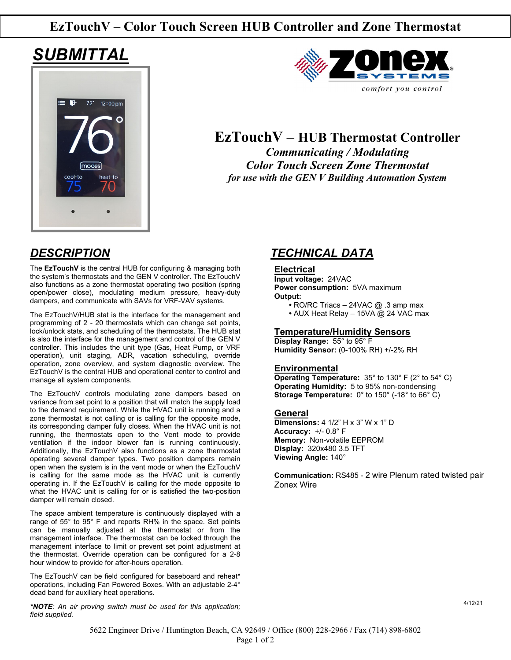## **EzTouchV – Color Touch Screen HUB Controller and Zone Thermostat**

# *SUBMITTAL*





## **EzTouchV – HUB Thermostat Controller**

*Communicating / Modulating Color Touch Screen Zone Thermostat for use with the GEN V Building Automation System*

The **EzTouchV** is the central HUB for configuring & managing both the system's thermostats and the GEN V controller. The EzTouchV also functions as a zone thermostat operating two position (spring open/power close), modulating medium pressure, heavy-duty dampers, and communicate with SAVs for VRF-VAV systems.

The EzTouchV/HUB stat is the interface for the management and programming of 2 - 20 thermostats which can change set points, lock/unlock stats, and scheduling of the thermostats. The HUB stat is also the interface for the management and control of the GEN V controller. This includes the unit type (Gas, Heat Pump, or VRF operation), unit staging, ADR, vacation scheduling, override operation, zone overview, and system diagnostic overview. The EzTouchV is the central HUB and operational center to control and manage all system components.

The EzTouchV controls modulating zone dampers based on variance from set point to a position that will match the supply load to the demand requirement. While the HVAC unit is running and a zone thermostat is not calling or is calling for the opposite mode, its corresponding damper fully closes. When the HVAC unit is not running, the thermostats open to the Vent mode to provide ventilation if the indoor blower fan is running continuously. Additionally, the EzTouchV also functions as a zone thermostat operating several damper types. Two position dampers remain open when the system is in the vent mode or when the EzTouchV is calling for the same mode as the HVAC unit is currently operating in. If the EzTouchV is calling for the mode opposite to what the HVAC unit is calling for or is satisfied the two-position damper will remain closed.

The space ambient temperature is continuously displayed with a range of 55° to 95° F and reports RH% in the space. Set points can be manually adjusted at the thermostat or from the management interface. The thermostat can be locked through the management interface to limit or prevent set point adjustment at the thermostat. Override operation can be configured for a 2-8 hour window to provide for after-hours operation.

The EzTouchV can be field configured for baseboard and reheat\* operations, including Fan Powered Boxes. With an adjustable 2-4° dead band for auxiliary heat operations.

*\*NOTE: An air proving switch must be used for this application; field supplied.*

## *DESCRIPTION TECHNICAL DATA*

#### **Electrical**

**Input voltage:** 24VAC **Power consumption:** 5VA maximum **Output:**

 **•** RO/RC Triacs – 24VAC @ .3 amp max

 **•** AUX Heat Relay – 15VA @ 24 VAC max

#### **Temperature/Humidity Sensors**

**Display Range:** 55° to 95° F **Humidity Sensor:** (0-100% RH) +/-2% RH

#### **Environmental**

**Operating Temperature:** 35° to 130° F (2° to 54° C) **Operating Humidity:** 5 to 95% non-condensing **Storage Temperature:** 0° to 150° (-18° to 66° C)

#### **General**

**Dimensions:** 4 1/2" H x 3" W x 1" D **Accuracy:** +/- 0.8° F **Memory:** Non-volatile EEPROM **Display:** 320x480 3.5 TFT **Viewing Angle:** 140°

**Communication:** RS485 - 2 wire Plenum rated twisted pair Zonex Wire